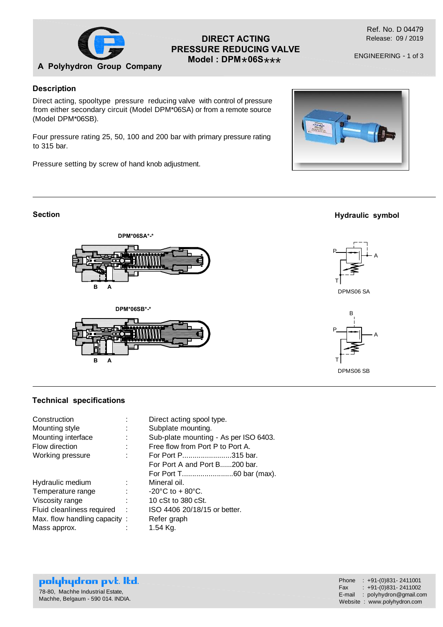

# **DIRECT ACTING PRESSURE REDUCING VALVE**  $Model:$  DPM  $*$  06S  $***$

ENGINEERING - 1 of 3

### **Description**

Direct acting, spooltype pressure reducing valve with control of pressure from either secondary circuit (Model DPM\*06SA) or from a remote source (Model DPM\*06SB).

Four pressure rating 25, 50, 100 and 200 bar with primary pressure rating to 315 bar.

Pressure setting by screw of hand knob adjustment.



### **Section**







**Hydraulic symbol**



T



### **Technical specifications**

| Construction                 |            | Direct acting spool type.             |  |  |  |
|------------------------------|------------|---------------------------------------|--|--|--|
| Mounting style               | ٠          | Subplate mounting.                    |  |  |  |
| Mounting interface           |            | Sub-plate mounting - As per ISO 6403. |  |  |  |
| Flow direction               |            | Free flow from Port P to Port A.      |  |  |  |
| Working pressure             |            | For Port P315 bar.                    |  |  |  |
|                              |            | For Port A and Port B200 bar.         |  |  |  |
|                              |            |                                       |  |  |  |
| Hydraulic medium             |            | Mineral oil.                          |  |  |  |
| Temperature range            |            | $-20^{\circ}$ C to $+80^{\circ}$ C.   |  |  |  |
| Viscosity range              |            | 10 cSt to 380 cSt.                    |  |  |  |
| Fluid cleanliness required   | ÷          | ISO 4406 20/18/15 or better.          |  |  |  |
| Max. flow handling capacity: |            | Refer graph                           |  |  |  |
| Mass approx.                 | $1.54$ Kg. |                                       |  |  |  |

#### polyhydron pvt. Itd. 78-80, Machhe Industrial Estate, Machhe, Belgaum - 590 014. INDIA.

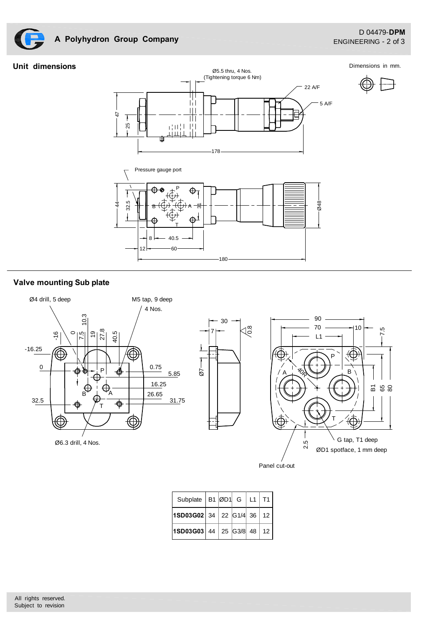

# **A Polyhydron Group Company**

### **Unit dimensions**

Dimensions in mm.





30

## **Valve mounting Sub plate**





Panel cut-out

| Subplate   B1 $\emptyset$ D1   G   L1   T1 |  |  |  |
|--------------------------------------------|--|--|--|
| <b>1SD03G02</b> 34 22 G1/4 36 12           |  |  |  |
| $ 1$ SD03G03 44 25 G3/8 48 12              |  |  |  |